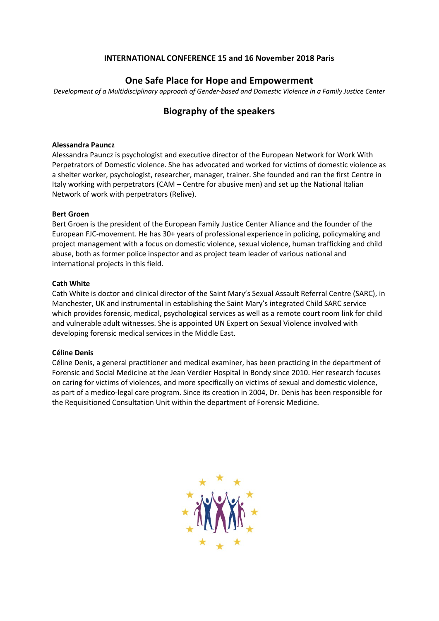## **INTERNATIONAL CONFERENCE 15 and 16 November 2018 Paris**

# **One Safe Place for Hope and Empowerment**

*Development of a Multidisciplinary approach of Gender-based and Domestic Violence in a Family Justice Center*

# **Biography of the speakers**

#### **Alessandra Pauncz**

Alessandra Pauncz is psychologist and executive director of the European Network for Work With Perpetrators of Domestic violence. She has advocated and worked for victims of domestic violence as a shelter worker, psychologist, researcher, manager, trainer. She founded and ran the first Centre in Italy working with perpetrators (CAM – Centre for abusive men) and set up the National Italian Network of work with perpetrators (Relive).

#### **Bert Groen**

Bert Groen is the president of the European Family Justice Center Alliance and the founder of the European FJC-movement. He has 30+ years of professional experience in policing, policymaking and project management with a focus on domestic violence, sexual violence, human trafficking and child abuse, both as former police inspector and as project team leader of various national and international projects in this field.

## **Cath White**

Cath White is doctor and clinical director of the Saint Mary's Sexual Assault Referral Centre (SARC), in Manchester, UK and instrumental in establishing the Saint Mary's integrated Child SARC service which provides forensic, medical, psychological services as well as a remote court room link for child and vulnerable adult witnesses. She is appointed UN Expert on Sexual Violence involved with developing forensic medical services in the Middle East.

## **Céline Denis**

Céline Denis, a general practitioner and medical examiner, has been practicing in the department of Forensic and Social Medicine at the Jean Verdier Hospital in Bondy since 2010. Her research focuses on caring for victims of violences, and more specifically on victims of sexual and domestic violence, as part of a medico-legal care program. Since its creation in 2004, Dr. Denis has been responsible for the Requisitioned Consultation Unit within the department of Forensic Medicine.

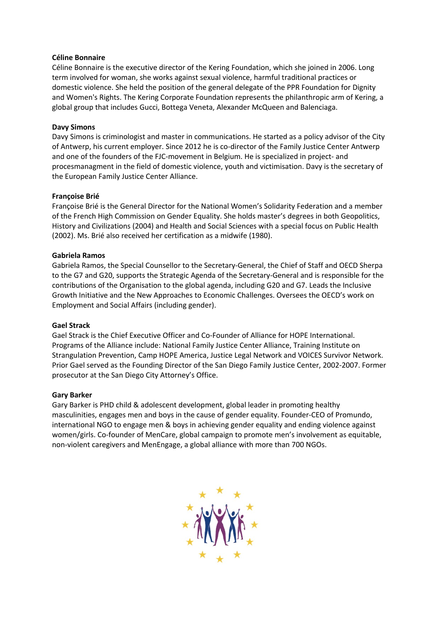## **Céline Bonnaire**

Céline Bonnaire is the executive director of the Kering Foundation, which she joined in 2006. Long term involved for woman, she works against sexual violence, harmful traditional practices or domestic violence. She held the position of the general delegate of the PPR Foundation for Dignity and Women's Rights. The Kering Corporate Foundation represents the philanthropic arm of Kering, a global group that includes Gucci, Bottega Veneta, Alexander McQueen and Balenciaga.

## **Davy Simons**

Davy Simons is criminologist and master in communications. He started as a policy advisor of the City of Antwerp, his current employer. Since 2012 he is co-director of the Family Justice Center Antwerp and one of the founders of the FJC-movement in Belgium. He is specialized in project- and procesmanagment in the field of domestic violence, youth and victimisation. Davy is the secretary of the European Family Justice Center Alliance.

## **Françoise Brié**

Françoise Brié is the General Director for the National Women's Solidarity Federation and a member of the French High Commission on Gender Equality. She holds master's degrees in both Geopolitics, History and Civilizations (2004) and Health and Social Sciences with a special focus on Public Health (2002). Ms. Brié also received her certification as a midwife (1980).

## **Gabriela Ramos**

Gabriela Ramos, the Special Counsellor to the Secretary-General, the Chief of Staff and OECD Sherpa to the G7 and G20, supports the Strategic Agenda of the Secretary-General and is responsible for the contributions of the Organisation to the global agenda, including G20 and G7. Leads the Inclusive Growth Initiative and the New Approaches to Economic Challenges. Oversees the OECD's work on Employment and Social Affairs (including gender).

#### **Gael Strack**

Gael Strack is the Chief Executive Officer and Co-Founder of Alliance for HOPE International. Programs of the Alliance include: National Family Justice Center Alliance, Training Institute on Strangulation Prevention, Camp HOPE America, Justice Legal Network and VOICES Survivor Network. Prior Gael served as the Founding Director of the San Diego Family Justice Center, 2002-2007. Former prosecutor at the San Diego City Attorney's Office.

#### **Gary Barker**

Gary Barker is PHD child & adolescent development, global leader in promoting healthy masculinities, engages men and boys in the cause of gender equality. Founder-CEO of Promundo, international NGO to engage men & boys in achieving gender equality and ending violence against women/girls. Co-founder of MenCare, global campaign to promote men's involvement as equitable, non-violent caregivers and MenEngage, a global alliance with more than 700 NGOs.

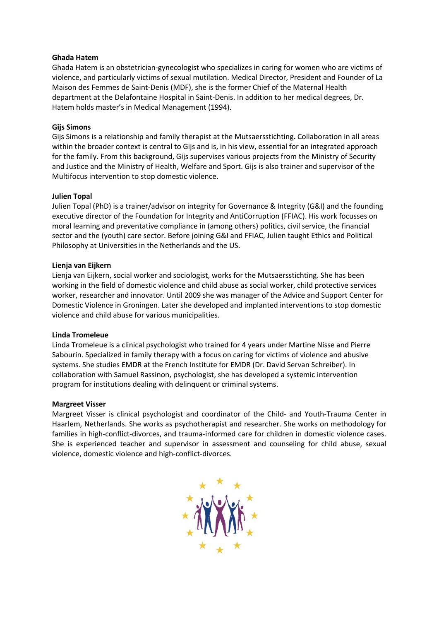## **Ghada Hatem**

Ghada Hatem is an obstetrician-gynecologist who specializes in caring for women who are victims of violence, and particularly victims of sexual mutilation. Medical Director, President and Founder of La Maison des Femmes de Saint-Denis (MDF), she is the former Chief of the Maternal Health department at the Delafontaine Hospital in Saint-Denis. In addition to her medical degrees, Dr. Hatem holds master's in Medical Management (1994).

## **Gijs Simons**

Gijs Simons is a relationship and family therapist at the Mutsaersstichting. Collaboration in all areas within the broader context is central to Gijs and is, in his view, essential for an integrated approach for the family. From this background, Gijs supervises various projects from the Ministry of Security and Justice and the Ministry of Health, Welfare and Sport. Gijs is also trainer and supervisor of the Multifocus intervention to stop domestic violence.

## **Julien Topal**

Julien Topal (PhD) is a trainer/advisor on integrity for Governance & Integrity (G&I) and the founding executive director of the Foundation for Integrity and AntiCorruption (FFIAC). His work focusses on moral learning and preventative compliance in (among others) politics, civil service, the financial sector and the (youth) care sector. Before joining G&I and FFIAC, Julien taught Ethics and Political Philosophy at Universities in the Netherlands and the US.

## **Lienja van Eijkern**

Lienja van Eijkern, social worker and sociologist, works for the Mutsaersstichting. She has been working in the field of domestic violence and child abuse as social worker, child protective services worker, researcher and innovator. Until 2009 she was manager of the Advice and Support Center for Domestic Violence in Groningen. Later she developed and implanted interventions to stop domestic violence and child abuse for various municipalities.

#### **Linda Tromeleue**

Linda Tromeleue is a clinical psychologist who trained for 4 years under Martine Nisse and Pierre Sabourin. Specialized in family therapy with a focus on caring for victims of violence and abusive systems. She studies EMDR at the French Institute for EMDR (Dr. David Servan Schreiber). In collaboration with Samuel Rassinon, psychologist, she has developed a systemic intervention program for institutions dealing with delinquent or criminal systems.

#### **Margreet Visser**

Margreet Visser is clinical psychologist and coordinator of the Child- and Youth-Trauma Center in Haarlem, Netherlands. She works as psychotherapist and researcher. She works on methodology for families in high-conflict-divorces, and trauma-informed care for children in domestic violence cases. She is experienced teacher and supervisor in assessment and counseling for child abuse, sexual violence, domestic violence and high-conflict-divorces.